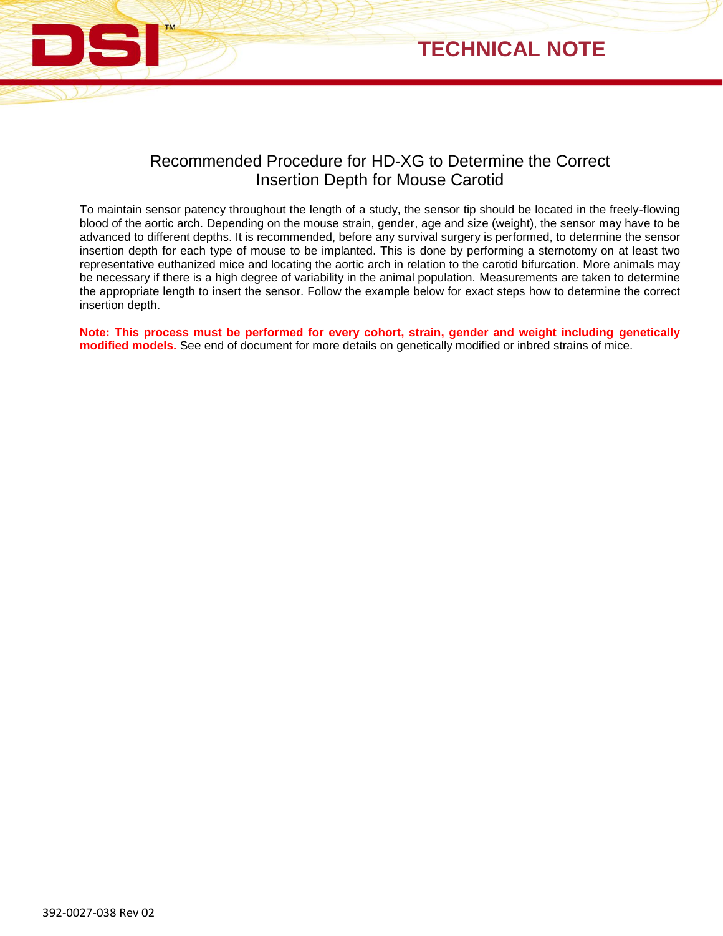



## Recommended Procedure for HD-XG to Determine the Correct Insertion Depth for Mouse Carotid

To maintain sensor patency throughout the length of a study, the sensor tip should be located in the freely-flowing blood of the aortic arch. Depending on the mouse strain, gender, age and size (weight), the sensor may have to be advanced to different depths. It is recommended, before any survival surgery is performed, to determine the sensor insertion depth for each type of mouse to be implanted. This is done by performing a sternotomy on at least two representative euthanized mice and locating the aortic arch in relation to the carotid bifurcation. More animals may be necessary if there is a high degree of variability in the animal population. Measurements are taken to determine the appropriate length to insert the sensor. Follow the example below for exact steps how to determine the correct insertion depth.

**Note: This process must be performed for every cohort, strain, gender and weight including genetically modified models.** See end of document for more details on genetically modified or inbred strains of mice.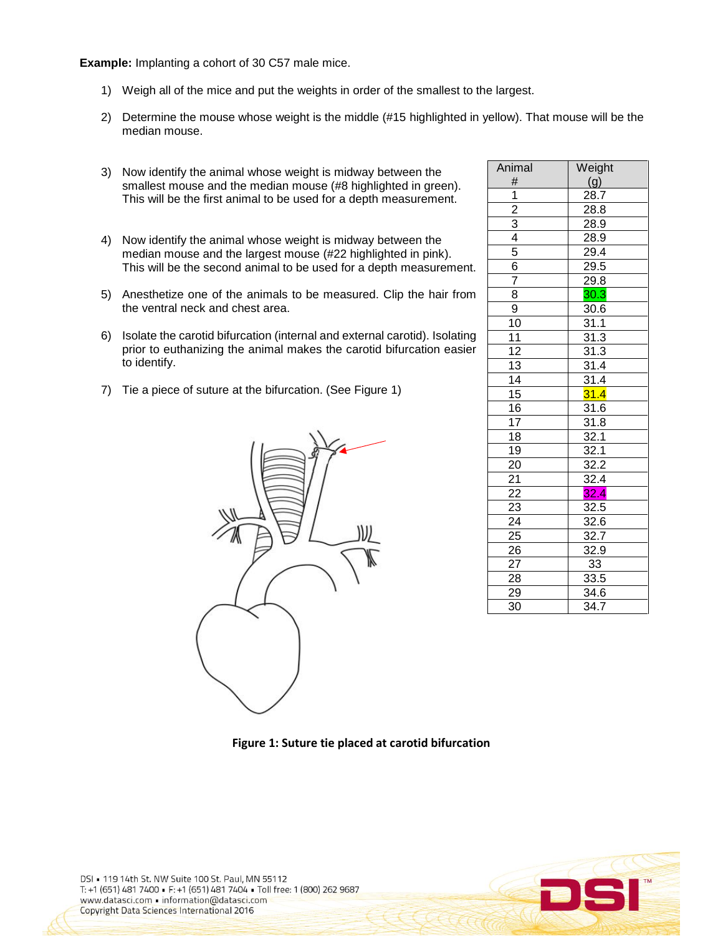**Example:** Implanting a cohort of 30 C57 male mice.

- 1) Weigh all of the mice and put the weights in order of the smallest to the largest.
- 2) Determine the mouse whose weight is the middle (#15 highlighted in yellow). That mouse will be the median mouse.
- 3) Now identify the animal whose weight is midway between the smallest mouse and the median mouse (#8 highlighted in green). This will be the first animal to be used for a depth measurement.
- 4) Now identify the animal whose weight is midway between the median mouse and the largest mouse (#22 highlighted in pink). This will be the second animal to be used for a depth measurement.
- 5) Anesthetize one of the animals to be measured. Clip the hair from the ventral neck and chest area.
- 6) Isolate the carotid bifurcation (internal and external carotid). Isolating prior to euthanizing the animal makes the carotid bifurcation easier to identify.
- 7) Tie a piece of suture at the bifurcation. (See Figure 1)



| Animal                                                                | Weight                           |
|-----------------------------------------------------------------------|----------------------------------|
| #                                                                     | (g)                              |
| 1                                                                     | $28.\overline{7}$                |
|                                                                       | 28.8                             |
|                                                                       | 28.9                             |
| $\frac{2}{3}$ $\frac{3}{4}$ $\frac{4}{5}$ $\frac{6}{6}$ $\frac{7}{7}$ | $28.\overline{9}$                |
|                                                                       | $\frac{29.4}{29.5}$              |
|                                                                       |                                  |
|                                                                       | 29.8                             |
| $\overline{8}$                                                        | 30.3                             |
| $\overline{9}$                                                        | $\overline{30.6}$                |
| 10                                                                    | $\frac{31.1}{31.1}$              |
| $\overline{11}$                                                       | 31.3                             |
|                                                                       |                                  |
|                                                                       |                                  |
|                                                                       | $\frac{\frac{31.3}{31.3}}{31.4}$ |
| $\frac{12}{13}$<br>$\frac{14}{15}$                                    | 31.4                             |
| 16                                                                    | $\frac{31.6}{31.8}$              |
| $\overline{17}$                                                       |                                  |
| 18                                                                    | 32.1                             |
| $\overline{19}$                                                       | $\frac{32.1}{32.2}$              |
|                                                                       |                                  |
|                                                                       | $\frac{32.4}{5}$                 |
|                                                                       | $\overline{32.4}$                |
| $\frac{20}{21}$<br>$\frac{22}{23}$                                    | 32.5                             |
| 24                                                                    | 32.6                             |
| $\overline{25}$                                                       | 32.7                             |
| $\overline{26}$                                                       | $\overline{32.9}$                |
| $2\overline{7}$                                                       | 33                               |
| 28                                                                    | 33.5                             |
| 29                                                                    | 34.6                             |
| 30                                                                    | $\overline{34.7}$                |

**Figure 1: Suture tie placed at carotid bifurcation**

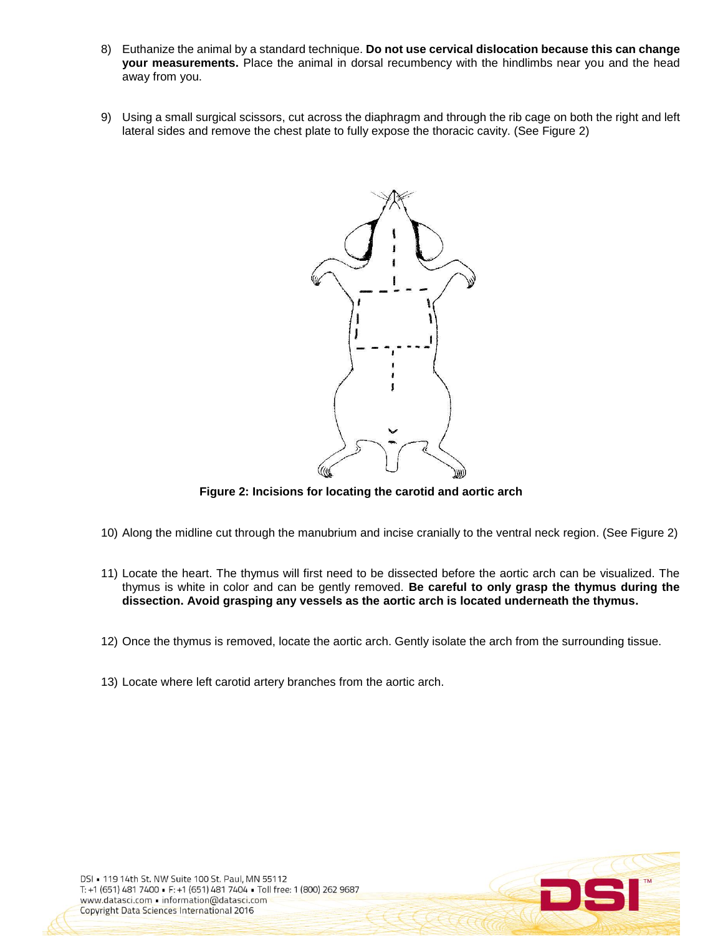- 8) Euthanize the animal by a standard technique. **Do not use cervical dislocation because this can change your measurements.** Place the animal in dorsal recumbency with the hindlimbs near you and the head away from you.
- 9) Using a small surgical scissors, cut across the diaphragm and through the rib cage on both the right and left lateral sides and remove the chest plate to fully expose the thoracic cavity. (See Figure 2)



**Figure 2: Incisions for locating the carotid and aortic arch**

- 10) Along the midline cut through the manubrium and incise cranially to the ventral neck region. (See Figure 2)
- 11) Locate the heart. The thymus will first need to be dissected before the aortic arch can be visualized. The thymus is white in color and can be gently removed. **Be careful to only grasp the thymus during the dissection. Avoid grasping any vessels as the aortic arch is located underneath the thymus.**
- 12) Once the thymus is removed, locate the aortic arch. Gently isolate the arch from the surrounding tissue.
- 13) Locate where left carotid artery branches from the aortic arch.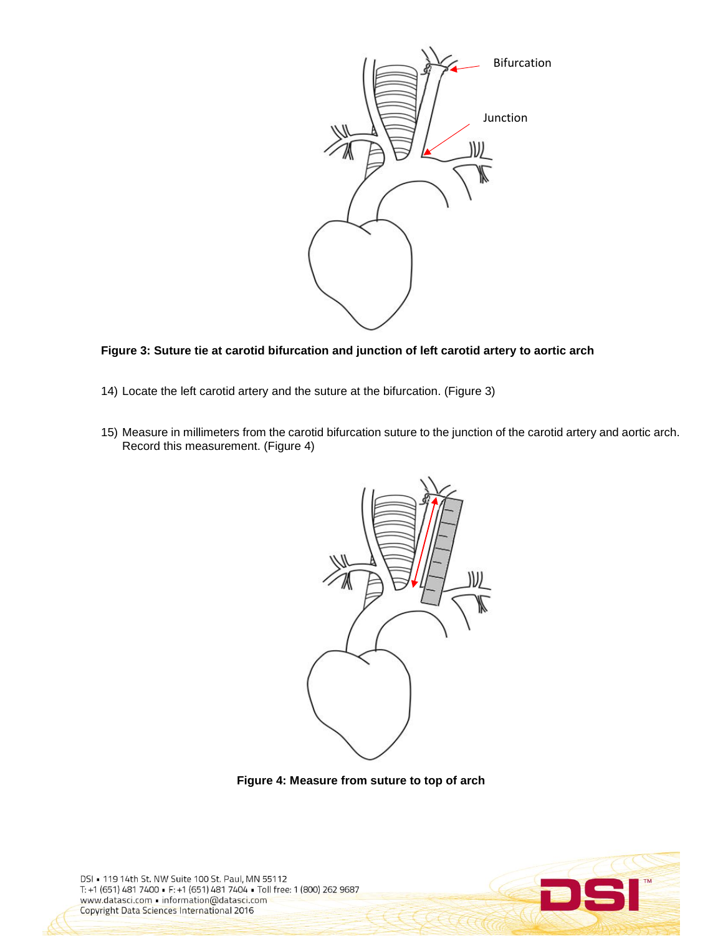

**Figure 3: Suture tie at carotid bifurcation and junction of left carotid artery to aortic arch**

- 14) Locate the left carotid artery and the suture at the bifurcation. (Figure 3)
- 15) Measure in millimeters from the carotid bifurcation suture to the junction of the carotid artery and aortic arch. Record this measurement. (Figure 4)



**Figure 4: Measure from suture to top of arch**

DSI = 119 14th St. NW Suite 100 St. Paul, MN 55112 T: +1 (651) 481 7400 · F: +1 (651) 481 7404 · Toll free: 1 (800) 262 9687 www.datasci.com . information@datasci.com **Copyright Data Sciences International 2016** 

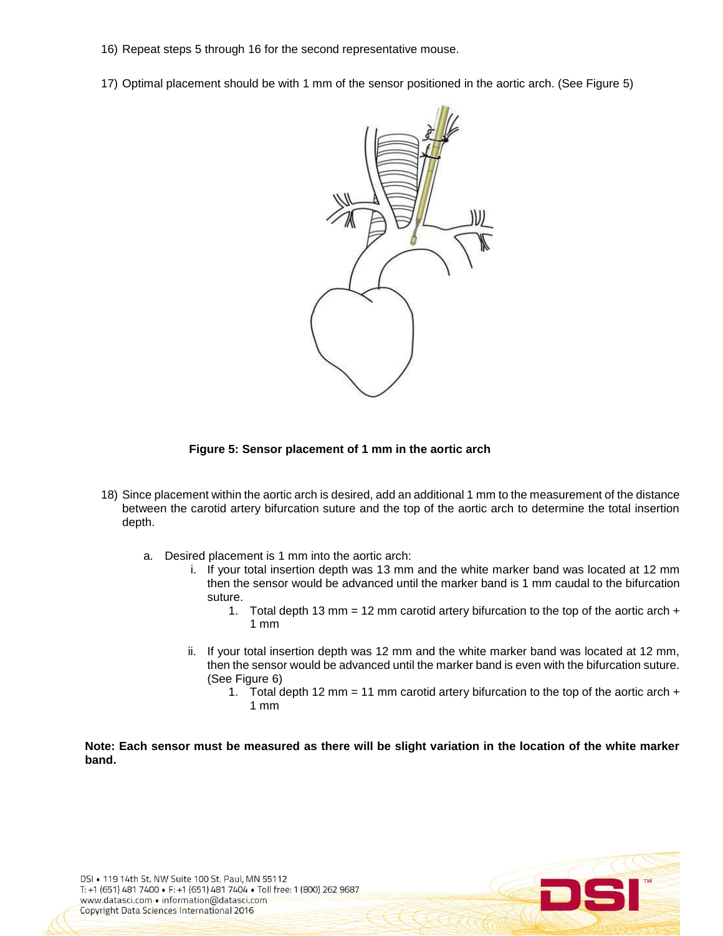- 16) Repeat steps 5 through 16 for the second representative mouse.
- 17) Optimal placement should be with 1 mm of the sensor positioned in the aortic arch. (See Figure 5)



## **Figure 5: Sensor placement of 1 mm in the aortic arch**

- 18) Since placement within the aortic arch is desired, add an additional 1 mm to the measurement of the distance between the carotid artery bifurcation suture and the top of the aortic arch to determine the total insertion depth.
	- a. Desired placement is 1 mm into the aortic arch:
		- i. If your total insertion depth was 13 mm and the white marker band was located at 12 mm then the sensor would be advanced until the marker band is 1 mm caudal to the bifurcation suture.
			- 1. Total depth 13 mm = 12 mm carotid artery bifurcation to the top of the aortic arch  $+$ 1 mm
		- ii. If your total insertion depth was 12 mm and the white marker band was located at 12 mm, then the sensor would be advanced until the marker band is even with the bifurcation suture. (See Figure 6)
			- 1. Total depth 12 mm = 11 mm carotid artery bifurcation to the top of the aortic arch  $+$ 1 mm

**Note: Each sensor must be measured as there will be slight variation in the location of the white marker band.**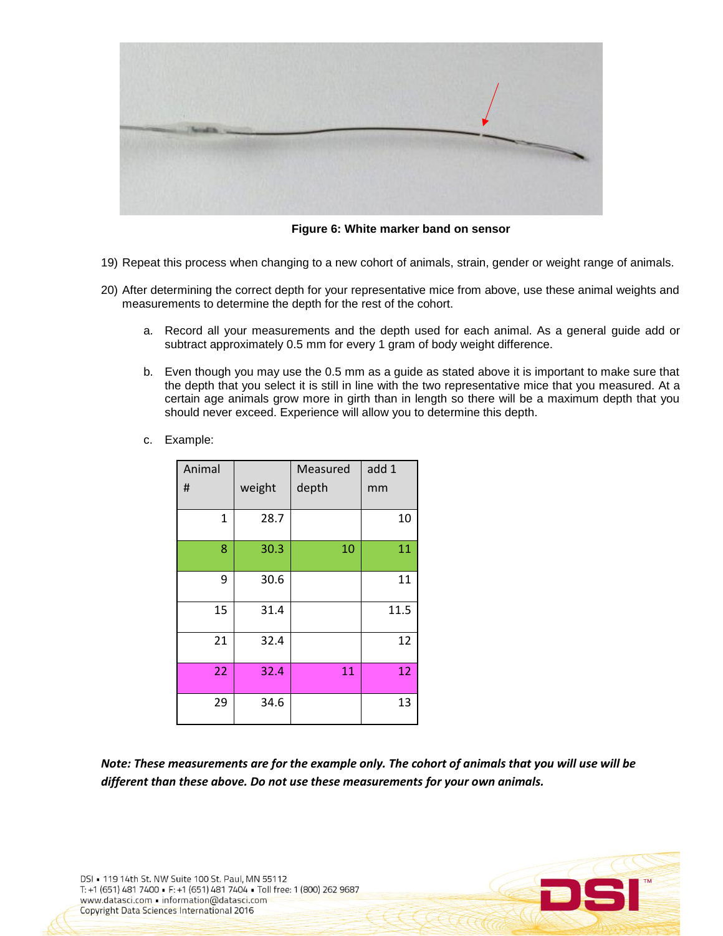

**Figure 6: White marker band on sensor**

- 19) Repeat this process when changing to a new cohort of animals, strain, gender or weight range of animals.
- 20) After determining the correct depth for your representative mice from above, use these animal weights and measurements to determine the depth for the rest of the cohort.
	- a. Record all your measurements and the depth used for each animal. As a general guide add or subtract approximately 0.5 mm for every 1 gram of body weight difference.
	- b. Even though you may use the 0.5 mm as a guide as stated above it is important to make sure that the depth that you select it is still in line with the two representative mice that you measured. At a certain age animals grow more in girth than in length so there will be a maximum depth that you should never exceed. Experience will allow you to determine this depth.
	- c. Example:

| Animal       |        | Measured | add 1 |
|--------------|--------|----------|-------|
| #            | weight | depth    | mm    |
| $\mathbf{1}$ | 28.7   |          | 10    |
| 8            | 30.3   | 10       | 11    |
| 9            | 30.6   |          | 11    |
| 15           | 31.4   |          | 11.5  |
| 21           | 32.4   |          | 12    |
| 22           | 32.4   | 11       | 12    |
| 29           | 34.6   |          | 13    |

*Note: These measurements are for the example only. The cohort of animals that you will use will be different than these above. Do not use these measurements for your own animals.*